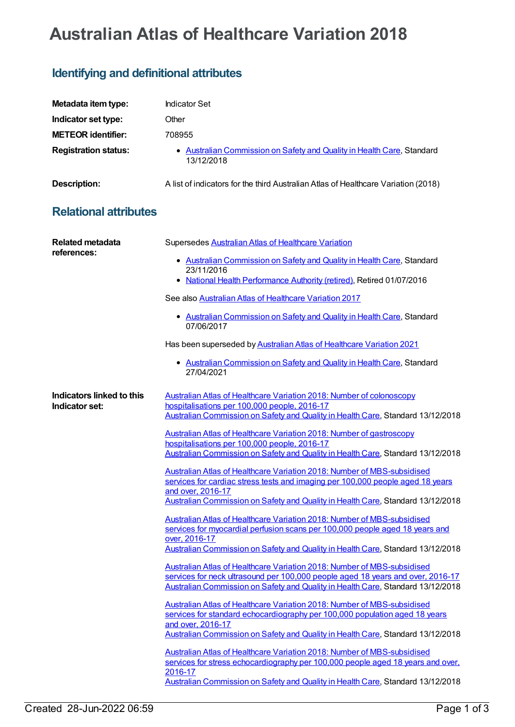# **Australian Atlas of Healthcare Variation 2018**

## **Identifying and definitional attributes**

| Metadata item type:         | Indicator Set                                                                        |
|-----------------------------|--------------------------------------------------------------------------------------|
| Indicator set type:         | Other                                                                                |
| <b>METEOR identifier:</b>   | 708955                                                                               |
| <b>Registration status:</b> | • Australian Commission on Safety and Quality in Health Care, Standard<br>13/12/2018 |
| <b>Description:</b>         | A list of indicators for the third Australian Atlas of Healthcare Variation (2018)   |

## **Relational attributes**

| <b>Related metadata</b><br>references:      | Supersedes Australian Atlas of Healthcare Variation                                                                                                                                   |
|---------------------------------------------|---------------------------------------------------------------------------------------------------------------------------------------------------------------------------------------|
|                                             | • Australian Commission on Safety and Quality in Health Care, Standard<br>23/11/2016                                                                                                  |
|                                             | National Health Performance Authority (retired), Retired 01/07/2016<br>٠                                                                                                              |
|                                             | See also Australian Atlas of Healthcare Variation 2017                                                                                                                                |
|                                             | • Australian Commission on Safety and Quality in Health Care, Standard<br>07/06/2017                                                                                                  |
|                                             | Has been superseded by Australian Atlas of Healthcare Variation 2021                                                                                                                  |
|                                             | • Australian Commission on Safety and Quality in Health Care, Standard<br>27/04/2021                                                                                                  |
| Indicators linked to this<br>Indicator set: | <b>Australian Atlas of Healthcare Variation 2018: Number of colonoscopy</b><br>hospitalisations per 100,000 people, 2016-17                                                           |
|                                             | Australian Commission on Safety and Quality in Health Care, Standard 13/12/2018                                                                                                       |
|                                             | <b>Australian Atlas of Healthcare Variation 2018: Number of gastroscopy</b>                                                                                                           |
|                                             | hospitalisations per 100,000 people, 2016-17<br>Australian Commission on Safety and Quality in Health Care, Standard 13/12/2018                                                       |
|                                             | <b>Australian Atlas of Healthcare Variation 2018: Number of MBS-subsidised</b><br>services for cardiac stress tests and imaging per 100,000 people aged 18 years<br>and over, 2016-17 |
|                                             | Australian Commission on Safety and Quality in Health Care, Standard 13/12/2018                                                                                                       |
|                                             | Australian Atlas of Healthcare Variation 2018: Number of MBS-subsidised<br>services for myocardial perfusion scans per 100,000 people aged 18 years and                               |
|                                             | over, 2016-17<br>Australian Commission on Safety and Quality in Health Care, Standard 13/12/2018                                                                                      |
|                                             | Australian Atlas of Healthcare Variation 2018: Number of MBS-subsidised                                                                                                               |
|                                             | services for neck ultrasound per 100,000 people aged 18 years and over, 2016-17                                                                                                       |
|                                             | Australian Commission on Safety and Quality in Health Care, Standard 13/12/2018                                                                                                       |
|                                             | Australian Atlas of Healthcare Variation 2018: Number of MBS-subsidised<br>services for standard echocardiography per 100,000 population aged 18 years                                |
|                                             | and over, 2016-17<br>Australian Commission on Safety and Quality in Health Care, Standard 13/12/2018                                                                                  |
|                                             | <b>Australian Atlas of Healthcare Variation 2018: Number of MBS-subsidised</b><br>services for stress echocardiography per 100,000 people aged 18 years and over,<br>2016-17          |
|                                             | Australian Commission on Safety and Quality in Health Care, Standard 13/12/2018                                                                                                       |